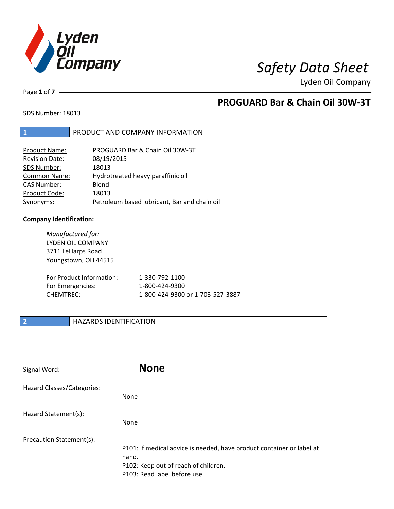

Page **1** of **7**

## **PROGUARD Bar & Chain Oil 30W-3T**

SDS Number: 18013

### **1** PRODUCT AND COMPANY INFORMATION

| Product Name:         | PROGUARD Bar & Chain Oil 30W-3T              |
|-----------------------|----------------------------------------------|
| <b>Revision Date:</b> | 08/19/2015                                   |
| SDS Number:           | 18013                                        |
| <b>Common Name:</b>   | Hydrotreated heavy paraffinic oil            |
| <b>CAS Number:</b>    | Blend                                        |
| Product Code:         | 18013                                        |
| Synonyms:             | Petroleum based lubricant, Bar and chain oil |

### **Company Identification:**

*Manufactured for:* LYDEN OIL COMPANY 3711 LeHarps Road Youngstown, OH 44515 For Product Information: 1-330-792-1100 For Emergencies: 1-800-424-9300 CHEMTREC: 1-800-424-9300 or 1-703-527-3887

### **2 HAZARDS IDENTIFICATION**

| Signal Word:               | <b>None</b>                                                                                                                                            |
|----------------------------|--------------------------------------------------------------------------------------------------------------------------------------------------------|
| Hazard Classes/Categories: | <b>None</b>                                                                                                                                            |
| Hazard Statement(s):       | <b>None</b>                                                                                                                                            |
| Precaution Statement(s):   | P101: If medical advice is needed, have product container or label at<br>hand.<br>P102: Keep out of reach of children.<br>P103: Read label before use. |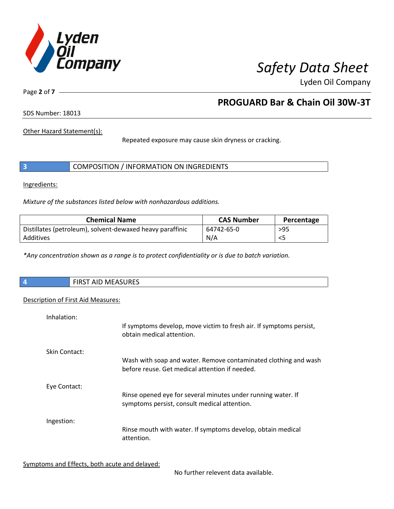

Page **2** of **7**

# **PROGUARD Bar & Chain Oil 30W-3T**

SDS Number: 18013

Other Hazard Statement(s):

Repeated exposure may cause skin dryness or cracking.

|  | COMPOSITION / INFORMATION ON INGREDIENTS |  |
|--|------------------------------------------|--|
|--|------------------------------------------|--|

Ingredients:

*Mixture of the substances listed below with nonhazardous additions.*

| <b>Chemical Name</b>                                      | <b>CAS Number</b> | Percentage |
|-----------------------------------------------------------|-------------------|------------|
| Distillates (petroleum), solvent-dewaxed heavy paraffinic | 64742-65-0        | $>95$      |
| Additives                                                 | N/A               |            |

*\*Any concentration shown as a range is to protect confidentiality or is due to batch variation.*

| $\overline{\phantom{a}}$ | <b>FIRST AID MEASURES</b> |
|--------------------------|---------------------------|
|                          |                           |

### Description of First Aid Measures:

| Inhalation:          | If symptoms develop, move victim to fresh air. If symptoms persist,<br>obtain medical attention.                  |
|----------------------|-------------------------------------------------------------------------------------------------------------------|
| <b>Skin Contact:</b> | Wash with soap and water. Remove contaminated clothing and wash<br>before reuse. Get medical attention if needed. |
| Eye Contact:         | Rinse opened eye for several minutes under running water. If<br>symptoms persist, consult medical attention.      |
| Ingestion:           | Rinse mouth with water. If symptoms develop, obtain medical<br>attention.                                         |

Symptoms and Effects, both acute and delayed:

No further relevent data available.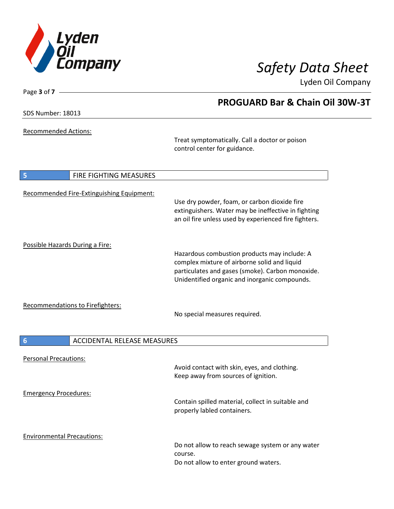

**PROGUARD Bar & Chain Oil 30W-3T**

Lyden Oil Company

SDS Number: 18013

Page **3** of **7**

Recommended Actions:

Treat symptomatically. Call a doctor or poison control center for guidance.

| 5<br><b>FIRE FIGHTING MEASURES</b>        |                                                                                                                                                                                                   |
|-------------------------------------------|---------------------------------------------------------------------------------------------------------------------------------------------------------------------------------------------------|
| Recommended Fire-Extinguishing Equipment: | Use dry powder, foam, or carbon dioxide fire<br>extinguishers. Water may be ineffective in fighting<br>an oil fire unless used by experienced fire fighters.                                      |
| Possible Hazards During a Fire:           | Hazardous combustion products may include: A<br>complex mixture of airborne solid and liquid<br>particulates and gases (smoke). Carbon monoxide.<br>Unidentified organic and inorganic compounds. |
| Recommendations to Firefighters:          | No special measures required.                                                                                                                                                                     |
| 6<br><b>ACCIDENTAL RELEASE MEASURES</b>   |                                                                                                                                                                                                   |
| <b>Personal Precautions:</b>              | Avoid contact with skin, eyes, and clothing.<br>Keep away from sources of ignition.                                                                                                               |
| <b>Emergency Procedures:</b>              | Contain spilled material, collect in suitable and<br>properly labled containers.                                                                                                                  |
| <b>Environmental Precautions:</b>         | Do not allow to reach sewage system or any water<br>course.<br>Do not allow to enter ground waters.                                                                                               |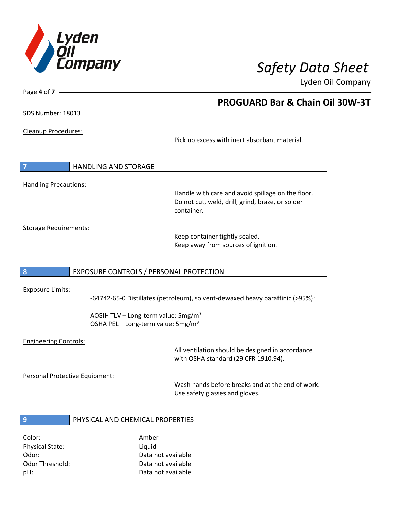

**PROGUARD Bar & Chain Oil 30W-3T**

Lyden Oil Company

SDS Number: 18013

Page **4** of **7**

### Cleanup Procedures:

Pick up excess with inert absorbant material.

# **7** HANDLING AND STORAGE Handling Precautions:

Handle with care and avoid spillage on the floor. Do not cut, weld, drill, grind, braze, or solder container.

Storage Requirements:

Keep container tightly sealed. Keep away from sources of ignition.

### **8** EXPOSURE CONTROLS / PERSONAL PROTECTION

### Exposure Limits:

-64742-65-0 Distillates (petroleum), solvent-dewaxed heavy paraffinic (>95%):

ACGIH TLV – Long-term value:  $5mg/m<sup>3</sup>$ OSHA PEL - Long-term value: 5mg/m<sup>3</sup>

### Engineering Controls:

All ventilation should be designed in accordance with OSHA standard (29 CFR 1910.94).

Personal Protective Equipment:

Wash hands before breaks and at the end of work. Use safety glasses and gloves.

### **9** PHYSICAL AND CHEMICAL PROPERTIES

Color: Amber Physical State: Liquid

Odor: Data not available Odor Threshold: Data not available pH: Data not available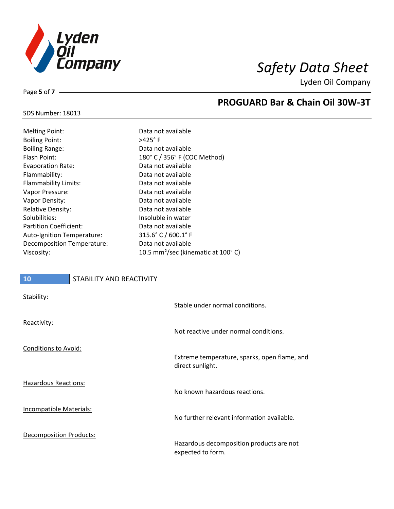

SDS Number: 18013

Page **5** of **7**

# **PROGUARD Bar & Chain Oil 30W-3T**

| <b>Melting Point:</b>         | Data not available                             |
|-------------------------------|------------------------------------------------|
|                               |                                                |
| <b>Boiling Point:</b>         | $>425^\circ$ F                                 |
| <b>Boiling Range:</b>         | Data not available                             |
| Flash Point:                  | 180° C / 356° F (COC Method)                   |
| <b>Evaporation Rate:</b>      | Data not available                             |
| Flammability:                 | Data not available                             |
| Flammability Limits:          | Data not available                             |
| Vapor Pressure:               | Data not available                             |
| Vapor Density:                | Data not available                             |
| <b>Relative Density:</b>      | Data not available                             |
| Solubilities:                 | Insoluble in water                             |
| <b>Partition Coefficient:</b> | Data not available                             |
| Auto-Ignition Temperature:    | $315.6^{\circ}$ C / 600.1° F                   |
| Decomposition Temperature:    | Data not available                             |
| Viscosity:                    | 10.5 mm <sup>2</sup> /sec (kinematic at 100°C) |

### **10** STABILITY AND REACTIVITY

| Stability:                     | Stable under normal conditions.                                  |
|--------------------------------|------------------------------------------------------------------|
| Reactivity:                    | Not reactive under normal conditions.                            |
| <b>Conditions to Avoid:</b>    | Extreme temperature, sparks, open flame, and<br>direct sunlight. |
| <b>Hazardous Reactions:</b>    | No known hazardous reactions.                                    |
| Incompatible Materials:        | No further relevant information available.                       |
| <b>Decomposition Products:</b> | Hazardous decomposition products are not<br>expected to form.    |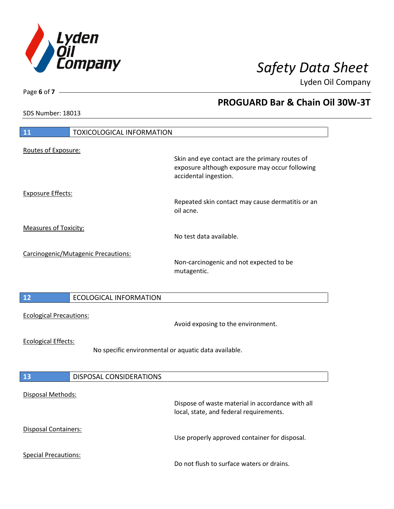

**PROGUARD Bar & Chain Oil 30W-3T**

Lyden Oil Company

SDS Number: 18013

# **11** TOXICOLOGICAL INFORMATION Routes of Exposure: Skin and eye contact are the primary routes of exposure although exposure may occur following accidental ingestion. Exposure Effects: Repeated skin contact may cause dermatitis or an oil acne. Measures of Toxicity: No test data available. Carcinogenic/Mutagenic Precautions: Non-carcinogenic and not expected to be mutagentic. **12** ECOLOGICAL INFORMATION Ecological Precautions: Avoid exposing to the environment. Ecological Effects: No specific environmental or aquatic data available. **13** DISPOSAL CONSIDERATIONS Disposal Methods: Dispose of waste material in accordance with all local, state, and federal requirements. Disposal Containers: Use properly approved container for disposal. Special Precautions: Do not flush to surface waters or drains.

Page **6** of **7**